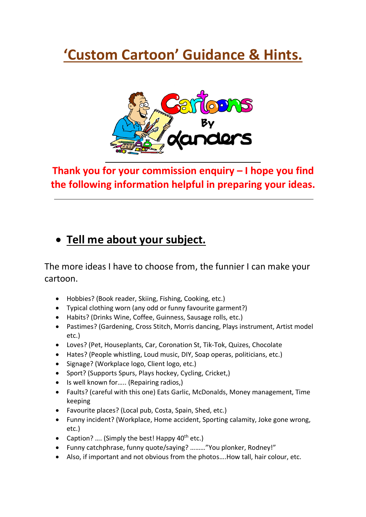# **'Custom Cartoon' Guidance & Hints.**



**Thank you for your commission enquiry – I hope you find the following information helpful in preparing your ideas.**

# • **Tell me about your subject.**

The more ideas I have to choose from, the funnier I can make your cartoon.

- Hobbies? (Book reader, Skiing, Fishing, Cooking, etc.)
- Typical clothing worn (any odd or funny favourite garment?)
- Habits? (Drinks Wine, Coffee, Guinness, Sausage rolls, etc.)
- Pastimes? (Gardening, Cross Stitch, Morris dancing, Plays instrument, Artist model etc.)
- Loves? (Pet, Houseplants, Car, Coronation St, Tik-Tok, Quizes, Chocolate
- Hates? (People whistling, Loud music, DIY, Soap operas, politicians, etc.)
- Signage? (Workplace logo, Client logo, etc.)
- Sport? (Supports Spurs, Plays hockey, Cycling, Cricket,)
- Is well known for..... (Repairing radios,)
- Faults? (careful with this one) Eats Garlic, McDonalds, Money management, Time keeping
- Favourite places? (Local pub, Costa, Spain, Shed, etc.)
- Funny incident? (Workplace, Home accident, Sporting calamity, Joke gone wrong, etc.)
- Caption? .... (Simply the best! Happy  $40^{th}$  etc.)
- Funny catchphrase, funny quote/saying? ………"You plonker, Rodney!"
- Also, if important and not obvious from the photos….How tall, hair colour, etc.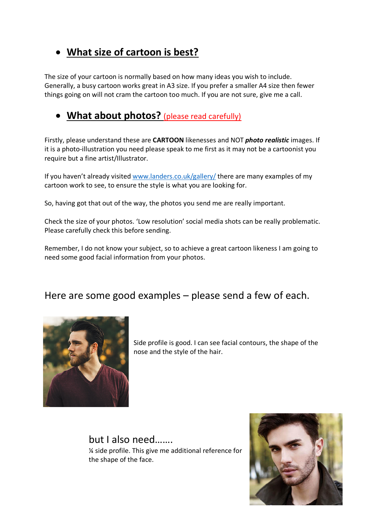## • **What size of cartoon is best?**

The size of your cartoon is normally based on how many ideas you wish to include. Generally, a busy cartoon works great in A3 size. If you prefer a smaller A4 size then fewer things going on will not cram the cartoon too much. If you are not sure, give me a call.

### • **What about photos?** (please read carefully)

Firstly, please understand these are **CARTOON** likenesses and NOT *photo realistic* images. If it is a photo-illustration you need please speak to me first as it may not be a cartoonist you require but a fine artist/Illustrator.

If you haven't already visited www.landers.co.uk/gallery/ there are many examples of my cartoon work to see, to ensure the style is what you are looking for.

So, having got that out of the way, the photos you send me are really important.

Check the size of your photos. 'Low resolution' social media shots can be really problematic. Please carefully check this before sending.

Remember, I do not know your subject, so to achieve a great cartoon likeness I am going to need some good facial information from your photos.

#### Here are some good examples – please send a few of each.



Side profile is good. I can see facial contours, the shape of the nose and the style of the hair.

but I also need……. ¼ side profile. This give me additional reference for the shape of the face.